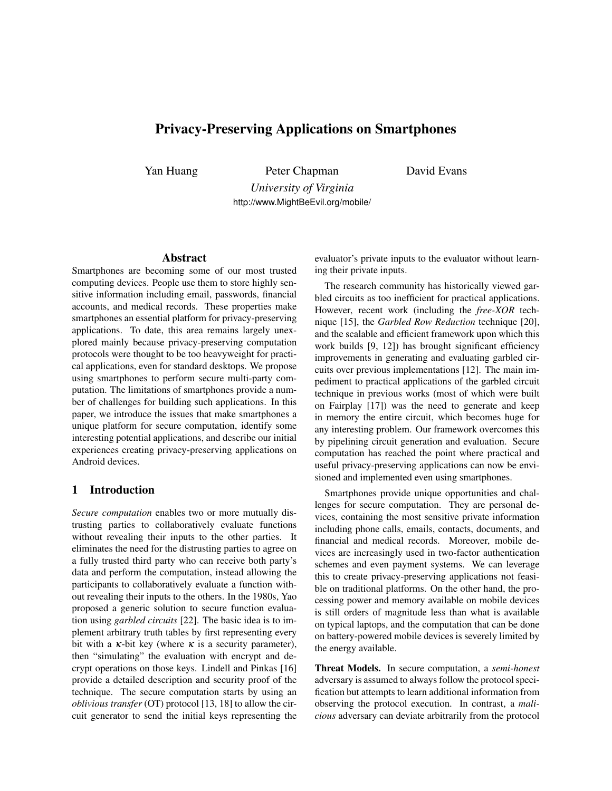# Privacy-Preserving Applications on Smartphones

Yan Huang Peter Chapman

David Evans

*University of Virginia* http://www.MightBeEvil.org/mobile/

#### Abstract

Smartphones are becoming some of our most trusted computing devices. People use them to store highly sensitive information including email, passwords, financial accounts, and medical records. These properties make smartphones an essential platform for privacy-preserving applications. To date, this area remains largely unexplored mainly because privacy-preserving computation protocols were thought to be too heavyweight for practical applications, even for standard desktops. We propose using smartphones to perform secure multi-party computation. The limitations of smartphones provide a number of challenges for building such applications. In this paper, we introduce the issues that make smartphones a unique platform for secure computation, identify some interesting potential applications, and describe our initial experiences creating privacy-preserving applications on Android devices.

### 1 Introduction

*Secure computation* enables two or more mutually distrusting parties to collaboratively evaluate functions without revealing their inputs to the other parties. It eliminates the need for the distrusting parties to agree on a fully trusted third party who can receive both party's data and perform the computation, instead allowing the participants to collaboratively evaluate a function without revealing their inputs to the others. In the 1980s, Yao proposed a generic solution to secure function evaluation using *garbled circuits* [22]. The basic idea is to implement arbitrary truth tables by first representing every bit with a  $\kappa$ -bit key (where  $\kappa$  is a security parameter), then "simulating" the evaluation with encrypt and decrypt operations on those keys. Lindell and Pinkas [16] provide a detailed description and security proof of the technique. The secure computation starts by using an *oblivious transfer* (OT) protocol [13, 18] to allow the circuit generator to send the initial keys representing the evaluator's private inputs to the evaluator without learning their private inputs.

The research community has historically viewed garbled circuits as too inefficient for practical applications. However, recent work (including the *free-XOR* technique [15], the *Garbled Row Reduction* technique [20], and the scalable and efficient framework upon which this work builds [9, 12]) has brought significant efficiency improvements in generating and evaluating garbled circuits over previous implementations [12]. The main impediment to practical applications of the garbled circuit technique in previous works (most of which were built on Fairplay [17]) was the need to generate and keep in memory the entire circuit, which becomes huge for any interesting problem. Our framework overcomes this by pipelining circuit generation and evaluation. Secure computation has reached the point where practical and useful privacy-preserving applications can now be envisioned and implemented even using smartphones.

Smartphones provide unique opportunities and challenges for secure computation. They are personal devices, containing the most sensitive private information including phone calls, emails, contacts, documents, and financial and medical records. Moreover, mobile devices are increasingly used in two-factor authentication schemes and even payment systems. We can leverage this to create privacy-preserving applications not feasible on traditional platforms. On the other hand, the processing power and memory available on mobile devices is still orders of magnitude less than what is available on typical laptops, and the computation that can be done on battery-powered mobile devices is severely limited by the energy available.

Threat Models. In secure computation, a *semi-honest* adversary is assumed to always follow the protocol specification but attempts to learn additional information from observing the protocol execution. In contrast, a *malicious* adversary can deviate arbitrarily from the protocol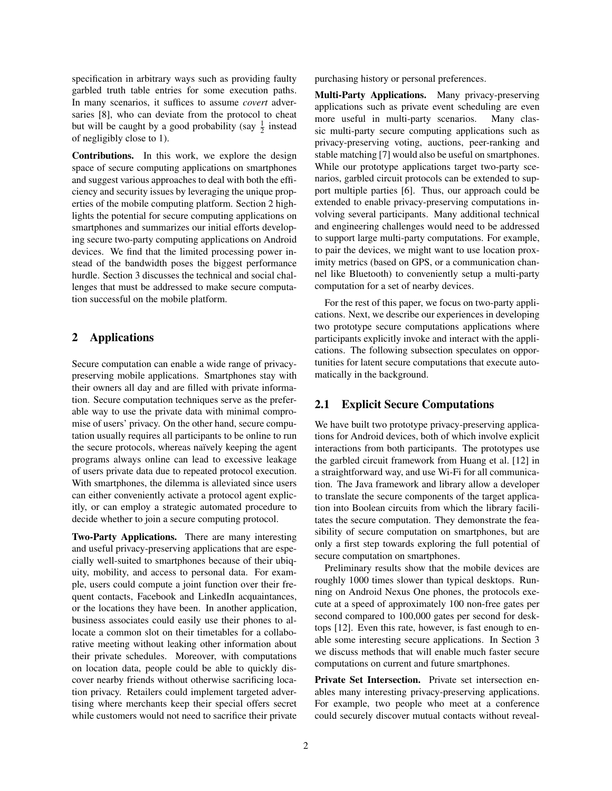specification in arbitrary ways such as providing faulty garbled truth table entries for some execution paths. In many scenarios, it suffices to assume *covert* adversaries [8], who can deviate from the protocol to cheat but will be caught by a good probability (say  $\frac{1}{2}$  instead of negligibly close to 1).

Contributions. In this work, we explore the design space of secure computing applications on smartphones and suggest various approaches to deal with both the efficiency and security issues by leveraging the unique properties of the mobile computing platform. Section 2 highlights the potential for secure computing applications on smartphones and summarizes our initial efforts developing secure two-party computing applications on Android devices. We find that the limited processing power instead of the bandwidth poses the biggest performance hurdle. Section 3 discusses the technical and social challenges that must be addressed to make secure computation successful on the mobile platform.

# 2 Applications

Secure computation can enable a wide range of privacypreserving mobile applications. Smartphones stay with their owners all day and are filled with private information. Secure computation techniques serve as the preferable way to use the private data with minimal compromise of users' privacy. On the other hand, secure computation usually requires all participants to be online to run the secure protocols, whereas naïvely keeping the agent programs always online can lead to excessive leakage of users private data due to repeated protocol execution. With smartphones, the dilemma is alleviated since users can either conveniently activate a protocol agent explicitly, or can employ a strategic automated procedure to decide whether to join a secure computing protocol.

Two-Party Applications. There are many interesting and useful privacy-preserving applications that are especially well-suited to smartphones because of their ubiquity, mobility, and access to personal data. For example, users could compute a joint function over their frequent contacts, Facebook and LinkedIn acquaintances, or the locations they have been. In another application, business associates could easily use their phones to allocate a common slot on their timetables for a collaborative meeting without leaking other information about their private schedules. Moreover, with computations on location data, people could be able to quickly discover nearby friends without otherwise sacrificing location privacy. Retailers could implement targeted advertising where merchants keep their special offers secret while customers would not need to sacrifice their private purchasing history or personal preferences.

Multi-Party Applications. Many privacy-preserving applications such as private event scheduling are even more useful in multi-party scenarios. Many classic multi-party secure computing applications such as privacy-preserving voting, auctions, peer-ranking and stable matching [7] would also be useful on smartphones. While our prototype applications target two-party scenarios, garbled circuit protocols can be extended to support multiple parties [6]. Thus, our approach could be extended to enable privacy-preserving computations involving several participants. Many additional technical and engineering challenges would need to be addressed to support large multi-party computations. For example, to pair the devices, we might want to use location proximity metrics (based on GPS, or a communication channel like Bluetooth) to conveniently setup a multi-party computation for a set of nearby devices.

For the rest of this paper, we focus on two-party applications. Next, we describe our experiences in developing two prototype secure computations applications where participants explicitly invoke and interact with the applications. The following subsection speculates on opportunities for latent secure computations that execute automatically in the background.

### 2.1 Explicit Secure Computations

We have built two prototype privacy-preserving applications for Android devices, both of which involve explicit interactions from both participants. The prototypes use the garbled circuit framework from Huang et al. [12] in a straightforward way, and use Wi-Fi for all communication. The Java framework and library allow a developer to translate the secure components of the target application into Boolean circuits from which the library facilitates the secure computation. They demonstrate the feasibility of secure computation on smartphones, but are only a first step towards exploring the full potential of secure computation on smartphones.

Preliminary results show that the mobile devices are roughly 1000 times slower than typical desktops. Running on Android Nexus One phones, the protocols execute at a speed of approximately 100 non-free gates per second compared to 100,000 gates per second for desktops [12]. Even this rate, however, is fast enough to enable some interesting secure applications. In Section 3 we discuss methods that will enable much faster secure computations on current and future smartphones.

Private Set Intersection. Private set intersection enables many interesting privacy-preserving applications. For example, two people who meet at a conference could securely discover mutual contacts without reveal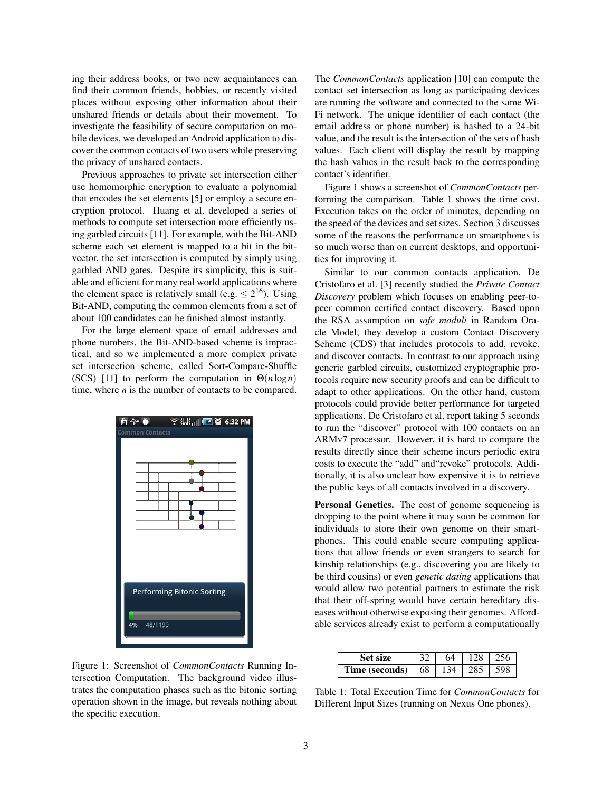ing their address books, or two new acquaintances can find their common friends, hobbies, or recently visited places without exposing other information about their unshared friends or details about their movement. To investigate the feasibility of secure computation on mobile devices, we developed an Android application to discover the common contacts of two users while preserving the privacy of unshared contacts.

Previous approaches to private set intersection either use homomorphic encryption to evaluate a polynomial that encodes the set elements [5] or employ a secure encryption protocol. Huang et al. developed a series of methods to compute set intersection more efficiently using garbled circuits [11]. For example, with the Bit-AND scheme each set element is mapped to a bit in the bitvector, the set intersection is computed by simply using garbled AND gates. Despite its simplicity, this is suitable and efficient for many real world applications where the element space is relatively small (e.g.  $\leq 2^{16}$ ). Using Bit-AND, computing the common elements from a set of about 100 candidates can be finished almost instantly.

For the large element space of email addresses and phone numbers, the Bit-AND-based scheme is impractical, and so we implemented a more complex private set intersection scheme, called Sort-Compare-Shuffle (SCS) [11] to perform the computation in Θ(*n*log*n*) time, where *n* is the number of contacts to be compared.



Figure 1: Screenshot of *CommonContacts* Running Intersection Computation. The background video illustrates the computation phases such as the bitonic sorting operation shown in the image, but reveals nothing about the specific execution.

The *CommonContacts* application [10] can compute the contact set intersection as long as participating devices are running the software and connected to the same Wi-Fi network. The unique identifier of each contact (the email address or phone number) is hashed to a 24-bit value, and the result is the intersection of the sets of hash values. Each client will display the result by mapping the hash values in the result back to the corresponding contact's identifier.

Figure 1 shows a screenshot of *CommonContacts* performing the comparison. Table 1 shows the time cost. Execution takes on the order of minutes, depending on the speed of the devices and set sizes. Section 3 discusses some of the reasons the performance on smartphones is so much worse than on current desktops, and opportunities for improving it.

Similar to our common contacts application, De Cristofaro et al. [3] recently studied the *Private Contact Discovery* problem which focuses on enabling peer-topeer common certified contact discovery. Based upon the RSA assumption on *safe moduli* in Random Oracle Model, they develop a custom Contact Discovery Scheme (CDS) that includes protocols to add, revoke, and discover contacts. In contrast to our approach using generic garbled circuits, customized cryptographic protocols require new security proofs and can be difficult to adapt to other applications. On the other hand, custom protocols could provide better performance for targeted applications. De Cristofaro et al. report taking 5 seconds to run the "discover" protocol with 100 contacts on an ARMv7 processor. However, it is hard to compare the results directly since their scheme incurs periodic extra costs to execute the "add" and"revoke" protocols. Additionally, it is also unclear how expensive it is to retrieve the public keys of all contacts involved in a discovery.

Personal Genetics. The cost of genome sequencing is dropping to the point where it may soon be common for individuals to store their own genome on their smartphones. This could enable secure computing applications that allow friends or even strangers to search for kinship relationships (e.g., discovering you are likely to be third cousins) or even *genetic dating* applications that would allow two potential partners to estimate the risk that their off-spring would have certain hereditary diseases without otherwise exposing their genomes. Affordable services already exist to perform a computationally

| <b>Set size</b>            | 64 | $\frac{1}{28}$ | 1256  |
|----------------------------|----|----------------|-------|
| <b>Time (seconds)</b>   68 |    | 134   285      | 1.598 |

Table 1: Total Execution Time for *CommonContacts* for Different Input Sizes (running on Nexus One phones).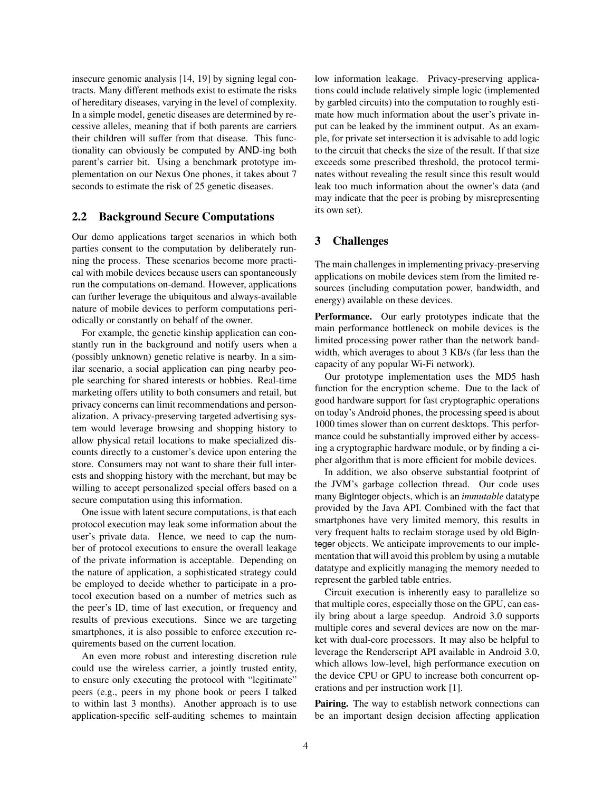insecure genomic analysis [14, 19] by signing legal contracts. Many different methods exist to estimate the risks of hereditary diseases, varying in the level of complexity. In a simple model, genetic diseases are determined by recessive alleles, meaning that if both parents are carriers their children will suffer from that disease. This functionality can obviously be computed by AND-ing both parent's carrier bit. Using a benchmark prototype implementation on our Nexus One phones, it takes about 7 seconds to estimate the risk of 25 genetic diseases.

#### 2.2 Background Secure Computations

Our demo applications target scenarios in which both parties consent to the computation by deliberately running the process. These scenarios become more practical with mobile devices because users can spontaneously run the computations on-demand. However, applications can further leverage the ubiquitous and always-available nature of mobile devices to perform computations periodically or constantly on behalf of the owner.

For example, the genetic kinship application can constantly run in the background and notify users when a (possibly unknown) genetic relative is nearby. In a similar scenario, a social application can ping nearby people searching for shared interests or hobbies. Real-time marketing offers utility to both consumers and retail, but privacy concerns can limit recommendations and personalization. A privacy-preserving targeted advertising system would leverage browsing and shopping history to allow physical retail locations to make specialized discounts directly to a customer's device upon entering the store. Consumers may not want to share their full interests and shopping history with the merchant, but may be willing to accept personalized special offers based on a secure computation using this information.

One issue with latent secure computations, is that each protocol execution may leak some information about the user's private data. Hence, we need to cap the number of protocol executions to ensure the overall leakage of the private information is acceptable. Depending on the nature of application, a sophisticated strategy could be employed to decide whether to participate in a protocol execution based on a number of metrics such as the peer's ID, time of last execution, or frequency and results of previous executions. Since we are targeting smartphones, it is also possible to enforce execution requirements based on the current location.

An even more robust and interesting discretion rule could use the wireless carrier, a jointly trusted entity, to ensure only executing the protocol with "legitimate" peers (e.g., peers in my phone book or peers I talked to within last 3 months). Another approach is to use application-specific self-auditing schemes to maintain low information leakage. Privacy-preserving applications could include relatively simple logic (implemented by garbled circuits) into the computation to roughly estimate how much information about the user's private input can be leaked by the imminent output. As an example, for private set intersection it is advisable to add logic to the circuit that checks the size of the result. If that size exceeds some prescribed threshold, the protocol terminates without revealing the result since this result would leak too much information about the owner's data (and may indicate that the peer is probing by misrepresenting its own set).

# 3 Challenges

The main challenges in implementing privacy-preserving applications on mobile devices stem from the limited resources (including computation power, bandwidth, and energy) available on these devices.

Performance. Our early prototypes indicate that the main performance bottleneck on mobile devices is the limited processing power rather than the network bandwidth, which averages to about 3 KB/s (far less than the capacity of any popular Wi-Fi network).

Our prototype implementation uses the MD5 hash function for the encryption scheme. Due to the lack of good hardware support for fast cryptographic operations on today's Android phones, the processing speed is about 1000 times slower than on current desktops. This performance could be substantially improved either by accessing a cryptographic hardware module, or by finding a cipher algorithm that is more efficient for mobile devices.

In addition, we also observe substantial footprint of the JVM's garbage collection thread. Our code uses many BigInteger objects, which is an *immutable* datatype provided by the Java API. Combined with the fact that smartphones have very limited memory, this results in very frequent halts to reclaim storage used by old BigInteger objects. We anticipate improvements to our implementation that will avoid this problem by using a mutable datatype and explicitly managing the memory needed to represent the garbled table entries.

Circuit execution is inherently easy to parallelize so that multiple cores, especially those on the GPU, can easily bring about a large speedup. Android 3.0 supports multiple cores and several devices are now on the market with dual-core processors. It may also be helpful to leverage the Renderscript API available in Android 3.0, which allows low-level, high performance execution on the device CPU or GPU to increase both concurrent operations and per instruction work [1].

Pairing. The way to establish network connections can be an important design decision affecting application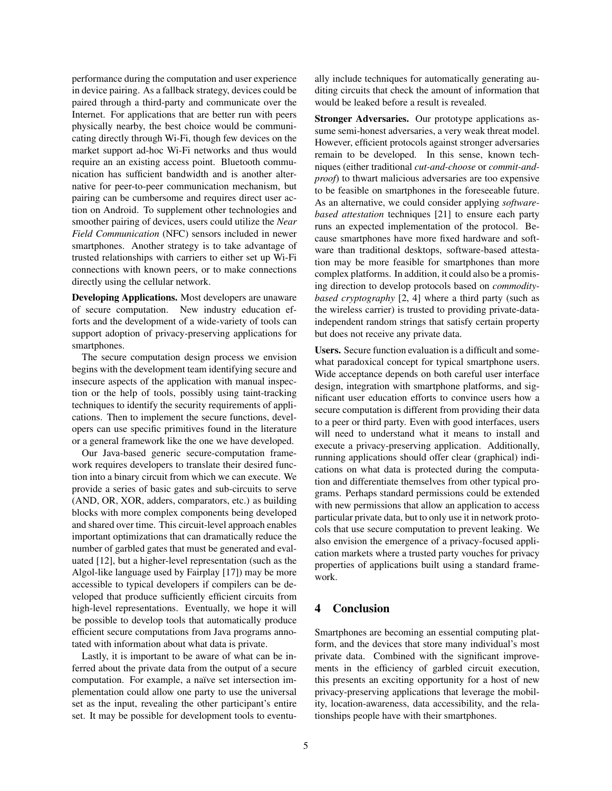performance during the computation and user experience in device pairing. As a fallback strategy, devices could be paired through a third-party and communicate over the Internet. For applications that are better run with peers physically nearby, the best choice would be communicating directly through Wi-Fi, though few devices on the market support ad-hoc Wi-Fi networks and thus would require an an existing access point. Bluetooth communication has sufficient bandwidth and is another alternative for peer-to-peer communication mechanism, but pairing can be cumbersome and requires direct user action on Android. To supplement other technologies and smoother pairing of devices, users could utilize the *Near Field Communication* (NFC) sensors included in newer smartphones. Another strategy is to take advantage of trusted relationships with carriers to either set up Wi-Fi connections with known peers, or to make connections directly using the cellular network.

Developing Applications. Most developers are unaware of secure computation. New industry education efforts and the development of a wide-variety of tools can support adoption of privacy-preserving applications for smartphones.

The secure computation design process we envision begins with the development team identifying secure and insecure aspects of the application with manual inspection or the help of tools, possibly using taint-tracking techniques to identify the security requirements of applications. Then to implement the secure functions, developers can use specific primitives found in the literature or a general framework like the one we have developed.

Our Java-based generic secure-computation framework requires developers to translate their desired function into a binary circuit from which we can execute. We provide a series of basic gates and sub-circuits to serve (AND, OR, XOR, adders, comparators, etc.) as building blocks with more complex components being developed and shared over time. This circuit-level approach enables important optimizations that can dramatically reduce the number of garbled gates that must be generated and evaluated [12], but a higher-level representation (such as the Algol-like language used by Fairplay [17]) may be more accessible to typical developers if compilers can be developed that produce sufficiently efficient circuits from high-level representations. Eventually, we hope it will be possible to develop tools that automatically produce efficient secure computations from Java programs annotated with information about what data is private.

Lastly, it is important to be aware of what can be inferred about the private data from the output of a secure computation. For example, a naïve set intersection implementation could allow one party to use the universal set as the input, revealing the other participant's entire set. It may be possible for development tools to eventually include techniques for automatically generating auditing circuits that check the amount of information that would be leaked before a result is revealed.

Stronger Adversaries. Our prototype applications assume semi-honest adversaries, a very weak threat model. However, efficient protocols against stronger adversaries remain to be developed. In this sense, known techniques (either traditional *cut-and-choose* or *commit-andproof*) to thwart malicious adversaries are too expensive to be feasible on smartphones in the foreseeable future. As an alternative, we could consider applying *softwarebased attestation* techniques [21] to ensure each party runs an expected implementation of the protocol. Because smartphones have more fixed hardware and software than traditional desktops, software-based attestation may be more feasible for smartphones than more complex platforms. In addition, it could also be a promising direction to develop protocols based on *commoditybased cryptography* [2, 4] where a third party (such as the wireless carrier) is trusted to providing private-dataindependent random strings that satisfy certain property but does not receive any private data.

Users. Secure function evaluation is a difficult and somewhat paradoxical concept for typical smartphone users. Wide acceptance depends on both careful user interface design, integration with smartphone platforms, and significant user education efforts to convince users how a secure computation is different from providing their data to a peer or third party. Even with good interfaces, users will need to understand what it means to install and execute a privacy-preserving application. Additionally, running applications should offer clear (graphical) indications on what data is protected during the computation and differentiate themselves from other typical programs. Perhaps standard permissions could be extended with new permissions that allow an application to access particular private data, but to only use it in network protocols that use secure computation to prevent leaking. We also envision the emergence of a privacy-focused application markets where a trusted party vouches for privacy properties of applications built using a standard framework.

## 4 Conclusion

Smartphones are becoming an essential computing platform, and the devices that store many individual's most private data. Combined with the significant improvements in the efficiency of garbled circuit execution, this presents an exciting opportunity for a host of new privacy-preserving applications that leverage the mobility, location-awareness, data accessibility, and the relationships people have with their smartphones.